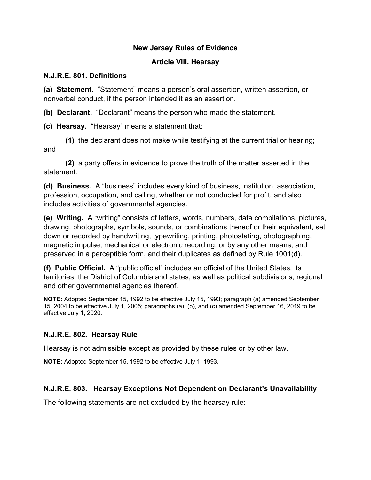#### **New Jersey Rules of Evidence**

#### **Article VIII. Hearsay**

#### **N.J.R.E. 801. Definitions**

**(a) Statement.** "Statement" means a person's oral assertion, written assertion, or nonverbal conduct, if the person intended it as an assertion.

**(b) Declarant.** "Declarant" means the person who made the statement.

**(c) Hearsay.** "Hearsay" means a statement that:

**(1)** the declarant does not make while testifying at the current trial or hearing; and

**(2)** a party offers in evidence to prove the truth of the matter asserted in the statement.

**(d) Business.** A "business" includes every kind of business, institution, association, profession, occupation, and calling, whether or not conducted for profit, and also includes activities of governmental agencies.

**(e) Writing.** A "writing" consists of letters, words, numbers, data compilations, pictures, drawing, photographs, symbols, sounds, or combinations thereof or their equivalent, set down or recorded by handwriting, typewriting, printing, photostating, photographing, magnetic impulse, mechanical or electronic recording, or by any other means, and preserved in a perceptible form, and their duplicates as defined by Rule 1001(d).

**(f) Public Official.** A "public official" includes an official of the United States, its territories, the District of Columbia and states, as well as political subdivisions, regional and other governmental agencies thereof.

**NOTE:** Adopted September 15, 1992 to be effective July 15, 1993; paragraph (a) amended September 15, 2004 to be effective July 1, 2005; paragraphs (a), (b), and (c) amended September 16, 2019 to be effective July 1, 2020.

# **N.J.R.E. 802. Hearsay Rule**

Hearsay is not admissible except as provided by these rules or by other law.

**NOTE:** Adopted September 15, 1992 to be effective July 1, 1993.

# **N.J.R.E. 803. Hearsay Exceptions Not Dependent on Declarant's Unavailability**

The following statements are not excluded by the hearsay rule: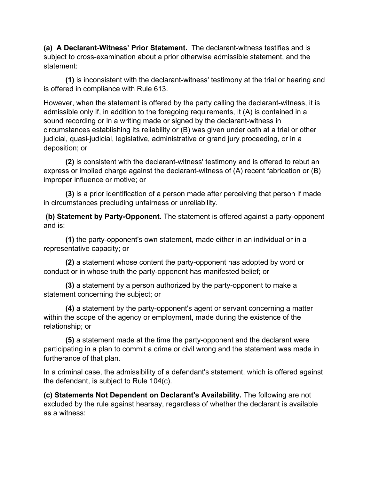**(a) A Declarant-Witness' Prior Statement.** The declarant-witness testifies and is subject to cross-examination about a prior otherwise admissible statement, and the statement:

**(1)** is inconsistent with the declarant-witness' testimony at the trial or hearing and is offered in compliance with Rule 613.

However, when the statement is offered by the party calling the declarant-witness, it is admissible only if, in addition to the foregoing requirements, it (A) is contained in a sound recording or in a writing made or signed by the declarant-witness in circumstances establishing its reliability or (B) was given under oath at a trial or other judicial, quasi-judicial, legislative, administrative or grand jury proceeding, or in a deposition; or

 **(2)** is consistent with the declarant-witness' testimony and is offered to rebut an express or implied charge against the declarant-witness of (A) recent fabrication or (B) improper influence or motive; or

 **(3)** is a prior identification of a person made after perceiving that person if made in circumstances precluding unfairness or unreliability.

**(b) Statement by Party-Opponent.** The statement is offered against a party-opponent and is:

 **(1)** the party-opponent's own statement, made either in an individual or in a representative capacity; or

 **(2)** a statement whose content the party-opponent has adopted by word or conduct or in whose truth the party-opponent has manifested belief; or

**(3)** a statement by a person authorized by the party-opponent to make a statement concerning the subject; or

 **(4)** a statement by the party-opponent's agent or servant concerning a matter within the scope of the agency or employment, made during the existence of the relationship; or

 **(5)** a statement made at the time the party-opponent and the declarant were participating in a plan to commit a crime or civil wrong and the statement was made in furtherance of that plan.

In a criminal case, the admissibility of a defendant's statement, which is offered against the defendant, is subject to Rule 104(c).

**(c) Statements Not Dependent on Declarant's Availability.** The following are not excluded by the rule against hearsay, regardless of whether the declarant is available as a witness: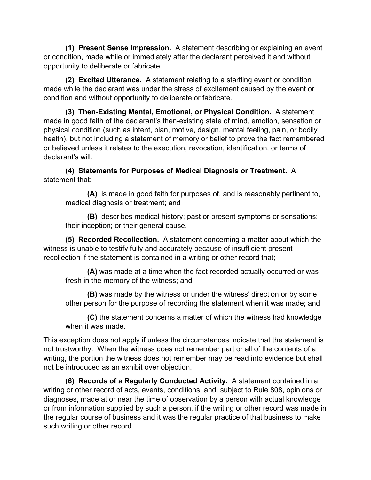**(1) Present Sense Impression.** A statement describing or explaining an event or condition, made while or immediately after the declarant perceived it and without opportunity to deliberate or fabricate.

**(2) Excited Utterance.** A statement relating to a startling event or condition made while the declarant was under the stress of excitement caused by the event or condition and without opportunity to deliberate or fabricate.

**(3) Then-Existing Mental, Emotional, or Physical Condition.** A statement made in good faith of the declarant's then-existing state of mind, emotion, sensation or physical condition (such as intent, plan, motive, design, mental feeling, pain, or bodily health), but not including a statement of memory or belief to prove the fact remembered or believed unless it relates to the execution, revocation, identification, or terms of declarant's will.

**(4) Statements for Purposes of Medical Diagnosis or Treatment.** A statement that:

**(A)** is made in good faith for purposes of, and is reasonably pertinent to, medical diagnosis or treatment; and

**(B)** describes medical history; past or present symptoms or sensations; their inception; or their general cause.

**(5) Recorded Recollection.** A statement concerning a matter about which the witness is unable to testify fully and accurately because of insufficient present recollection if the statement is contained in a writing or other record that;

**(A)** was made at a time when the fact recorded actually occurred or was fresh in the memory of the witness; and

**(B)** was made by the witness or under the witness' direction or by some other person for the purpose of recording the statement when it was made; and

**(C)** the statement concerns a matter of which the witness had knowledge when it was made.

This exception does not apply if unless the circumstances indicate that the statement is not trustworthy. When the witness does not remember part or all of the contents of a writing, the portion the witness does not remember may be read into evidence but shall not be introduced as an exhibit over objection.

**(6) Records of a Regularly Conducted Activity.** A statement contained in a writing or other record of acts, events, conditions, and, subject to Rule 808, opinions or diagnoses, made at or near the time of observation by a person with actual knowledge or from information supplied by such a person, if the writing or other record was made in the regular course of business and it was the regular practice of that business to make such writing or other record.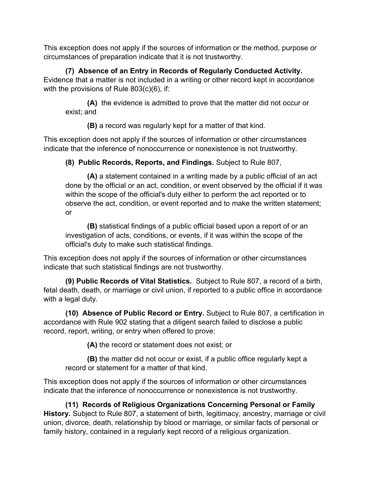This exception does not apply if the sources of information or the method, purpose or circumstances of preparation indicate that it is not trustworthy.

**(7) Absence of an Entry in Records of Regularly Conducted Activity.** Evidence that a matter is not included in a writing or other record kept in accordance with the provisions of Rule 803(c)(6), if:

**(A)** the evidence is admitted to prove that the matter did not occur or exist; and

**(B)** a record was regularly kept for a matter of that kind.

This exception does not apply if the sources of information or other circumstances indicate that the inference of nonoccurrence or nonexistence is not trustworthy.

**(8) Public Records, Reports, and Findings.** Subject to Rule 807,

**(A)** a statement contained in a writing made by a public official of an act done by the official or an act, condition, or event observed by the official if it was within the scope of the official's duty either to perform the act reported or to observe the act, condition, or event reported and to make the written statement; or

**(B)** statistical findings of a public official based upon a report of or an investigation of acts, conditions, or events, if it was within the scope of the official's duty to make such statistical findings.

This exception does not apply if the sources of information or other circumstances indicate that such statistical findings are not trustworthy.

**(9) Public Records of Vital Statistics.** Subject to Rule 807, a record of a birth, fetal death, death, or marriage or civil union, if reported to a public office in accordance with a legal duty.

**(10) Absence of Public Record or Entry.** Subject to Rule 807, a certification in accordance with Rule 902 stating that a diligent search failed to disclose a public record, report, writing, or entry when offered to prove:

**(A)** the record or statement does not exist; or

**(B)** the matter did not occur or exist, if a public office regularly kept a record or statement for a matter of that kind.

This exception does not apply if the sources of information or other circumstances indicate that the inference of nonoccurrence or nonexistence is not trustworthy.

**(11) Records of Religious Organizations Concerning Personal or Family History.** Subject to Rule 807, a statement of birth, legitimacy, ancestry, marriage or civil union, divorce, death, relationship by blood or marriage, or similar facts of personal or family history, contained in a regularly kept record of a religious organization.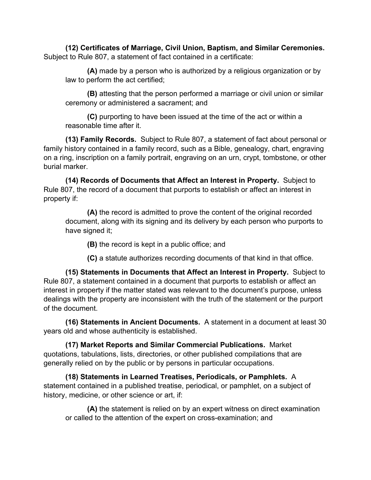**(12) Certificates of Marriage, Civil Union, Baptism, and Similar Ceremonies.**  Subject to Rule 807, a statement of fact contained in a certificate:

**(A)** made by a person who is authorized by a religious organization or by law to perform the act certified;

**(B)** attesting that the person performed a marriage or civil union or similar ceremony or administered a sacrament; and

**(C)** purporting to have been issued at the time of the act or within a reasonable time after it.

**(13) Family Records.** Subject to Rule 807, a statement of fact about personal or family history contained in a family record, such as a Bible, genealogy, chart, engraving on a ring, inscription on a family portrait, engraving on an urn, crypt, tombstone, or other burial marker.

**(14) Records of Documents that Affect an Interest in Property.** Subject to Rule 807, the record of a document that purports to establish or affect an interest in property if:

**(A)** the record is admitted to prove the content of the original recorded document, along with its signing and its delivery by each person who purports to have signed it;

**(B)** the record is kept in a public office; and

**(C)** a statute authorizes recording documents of that kind in that office.

**(15) Statements in Documents that Affect an Interest in Property.** Subject to Rule 807, a statement contained in a document that purports to establish or affect an interest in property if the matter stated was relevant to the document's purpose, unless dealings with the property are inconsistent with the truth of the statement or the purport of the document.

**(16) Statements in Ancient Documents.** A statement in a document at least 30 years old and whose authenticity is established.

**(17) Market Reports and Similar Commercial Publications.** Market quotations, tabulations, lists, directories, or other published compilations that are generally relied on by the public or by persons in particular occupations.

**(18) Statements in Learned Treatises, Periodicals, or Pamphlets.** A statement contained in a published treatise, periodical, or pamphlet, on a subject of history, medicine, or other science or art, if:

**(A)** the statement is relied on by an expert witness on direct examination or called to the attention of the expert on cross-examination; and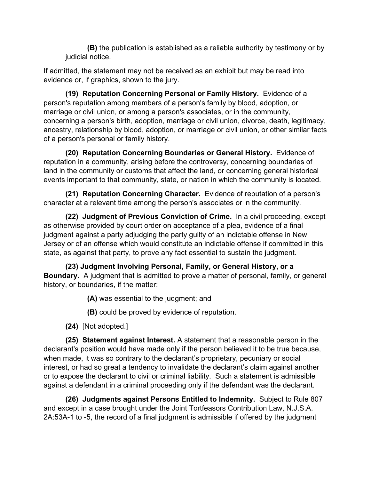**(B)** the publication is established as a reliable authority by testimony or by judicial notice.

If admitted, the statement may not be received as an exhibit but may be read into evidence or, if graphics, shown to the jury.

**(19) Reputation Concerning Personal or Family History.** Evidence of a person's reputation among members of a person's family by blood, adoption, or marriage or civil union, or among a person's associates, or in the community, concerning a person's birth, adoption, marriage or civil union, divorce, death, legitimacy, ancestry, relationship by blood, adoption, or marriage or civil union, or other similar facts of a person's personal or family history.

**(20) Reputation Concerning Boundaries or General History.** Evidence of reputation in a community, arising before the controversy, concerning boundaries of land in the community or customs that affect the land, or concerning general historical events important to that community, state, or nation in which the community is located.

**(21) Reputation Concerning Character.** Evidence of reputation of a person's character at a relevant time among the person's associates or in the community.

**(22) Judgment of Previous Conviction of Crime.** In a civil proceeding, except as otherwise provided by court order on acceptance of a plea, evidence of a final judgment against a party adjudging the party guilty of an indictable offense in New Jersey or of an offense which would constitute an indictable offense if committed in this state, as against that party, to prove any fact essential to sustain the judgment.

**(23) Judgment Involving Personal, Family, or General History, or a Boundary.** A judgment that is admitted to prove a matter of personal, family, or general history, or boundaries, if the matter:

**(A)** was essential to the judgment; and

**(B)** could be proved by evidence of reputation.

**(24)** [Not adopted.]

**(25) Statement against Interest.** A statement that a reasonable person in the declarant's position would have made only if the person believed it to be true because, when made, it was so contrary to the declarant's proprietary, pecuniary or social interest, or had so great a tendency to invalidate the declarant's claim against another or to expose the declarant to civil or criminal liability. Such a statement is admissible against a defendant in a criminal proceeding only if the defendant was the declarant.

**(26) Judgments against Persons Entitled to Indemnity.** Subject to Rule 807 and except in a case brought under the Joint Tortfeasors Contribution Law, N.J.S.A. 2A:53A-1 to -5, the record of a final judgment is admissible if offered by the judgment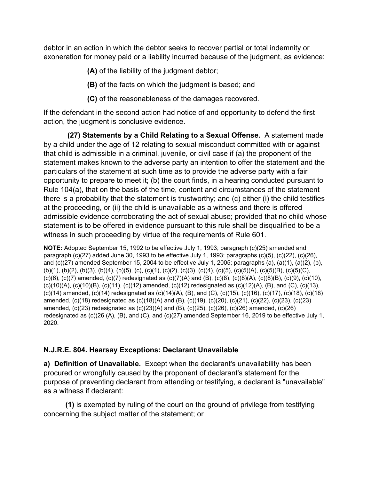debtor in an action in which the debtor seeks to recover partial or total indemnity or exoneration for money paid or a liability incurred because of the judgment, as evidence:

**(A)** of the liability of the judgment debtor;

**(B)** of the facts on which the judgment is based; and

**(C)** of the reasonableness of the damages recovered.

If the defendant in the second action had notice of and opportunity to defend the first action, the judgment is conclusive evidence.

**(27) Statements by a Child Relating to a Sexual Offense.** A statement made by a child under the age of 12 relating to sexual misconduct committed with or against that child is admissible in a criminal, juvenile, or civil case if (a) the proponent of the statement makes known to the adverse party an intention to offer the statement and the particulars of the statement at such time as to provide the adverse party with a fair opportunity to prepare to meet it; (b) the court finds, in a hearing conducted pursuant to Rule 104(a), that on the basis of the time, content and circumstances of the statement there is a probability that the statement is trustworthy; and (c) either (i) the child testifies at the proceeding, or (ii) the child is unavailable as a witness and there is offered admissible evidence corroborating the act of sexual abuse; provided that no child whose statement is to be offered in evidence pursuant to this rule shall be disqualified to be a witness in such proceeding by virtue of the requirements of Rule 601.

**NOTE:** Adopted September 15, 1992 to be effective July 1, 1993; paragraph (c)(25) amended and paragraph (c)(27) added June 30, 1993 to be effective July 1, 1993; paragraphs (c)(5), (c)(22), (c)(26), and (c)(27) amended September 15, 2004 to be effective July 1, 2005; paragraphs (a), (a)(1), (a)(2), (b), (b)(1), (b)(2), (b)(3), (b)(4), (b)(5), (c), (c)(1), (c)(2), (c)(3), (c)(4), (c)(5), (c)(5)(A), (c)(5)(B), (c)(5)(C),  $(c)(6)$ ,  $(c)(7)$  amended,  $(c)(7)$  redesignated as  $(c)(7)(A)$  and  $(B)$ ,  $(c)(8)$ ,  $(c)(8)(A)$ ,  $(c)(8)(B)$ ,  $(c)(9)$ ,  $(c)(10)$ , (c)(10)(A), (c)(10)(B), (c)(11), (c)(12) amended, (c)(12) redesignated as (c)(12)(A), (B), and (C), (c)(13), (c)(14) amended, (c)(14) redesignated as (c)(14)(A), (B), and (C), (c)(15), (c)(16), (c)(17), (c)(18), (c)(18) amended, (c)(18) redesignated as (c)(18)(A) and (B), (c)(19), (c)(20), (c)(21), (c)(22), (c)(23), (c)(23) amended, (c)(23) redesignated as (c)(23)(A) and (B), (c)(25), (c)(26), (c)(26) amended, (c)(26) redesignated as (c)(26 (A), (B), and (C), and (c)(27) amended September 16, 2019 to be effective July 1, 2020.

# **N.J.R.E. 804. Hearsay Exceptions: Declarant Unavailable**

**a) Definition of Unavailable.** Except when the declarant's unavailability has been procured or wrongfully caused by the proponent of declarant's statement for the purpose of preventing declarant from attending or testifying, a declarant is "unavailable" as a witness if declarant:

**(1)** is exempted by ruling of the court on the ground of privilege from testifying concerning the subject matter of the statement; or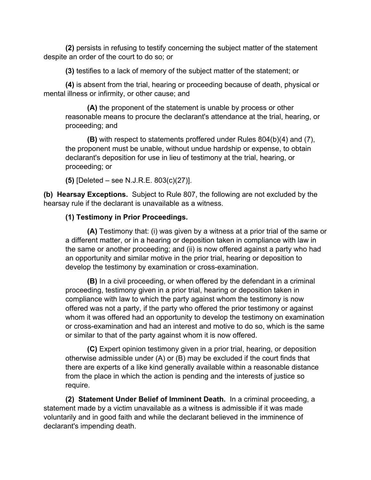**(2)** persists in refusing to testify concerning the subject matter of the statement despite an order of the court to do so; or

**(3)** testifies to a lack of memory of the subject matter of the statement; or

**(4)** is absent from the trial, hearing or proceeding because of death, physical or mental illness or infirmity, or other cause; and

**(A)** the proponent of the statement is unable by process or other reasonable means to procure the declarant's attendance at the trial, hearing, or proceeding; and

**(B)** with respect to statements proffered under Rules 804(b)(4) and (7), the proponent must be unable, without undue hardship or expense, to obtain declarant's deposition for use in lieu of testimony at the trial, hearing, or proceeding; or

**(5)** [Deleted – see N.J.R.E. 803(c)(27)].

**(b) Hearsay Exceptions.** Subject to Rule 807, the following are not excluded by the hearsay rule if the declarant is unavailable as a witness.

#### **(1) Testimony in Prior Proceedings.**

**(A)** Testimony that: (i) was given by a witness at a prior trial of the same or a different matter, or in a hearing or deposition taken in compliance with law in the same or another proceeding; and (ii) is now offered against a party who had an opportunity and similar motive in the prior trial, hearing or deposition to develop the testimony by examination or cross-examination.

**(B)** In a civil proceeding, or when offered by the defendant in a criminal proceeding, testimony given in a prior trial, hearing or deposition taken in compliance with law to which the party against whom the testimony is now offered was not a party, if the party who offered the prior testimony or against whom it was offered had an opportunity to develop the testimony on examination or cross-examination and had an interest and motive to do so, which is the same or similar to that of the party against whom it is now offered.

**(C)** Expert opinion testimony given in a prior trial, hearing, or deposition otherwise admissible under (A) or (B) may be excluded if the court finds that there are experts of a like kind generally available within a reasonable distance from the place in which the action is pending and the interests of justice so require.

**(2) Statement Under Belief of Imminent Death.** In a criminal proceeding, a statement made by a victim unavailable as a witness is admissible if it was made voluntarily and in good faith and while the declarant believed in the imminence of declarant's impending death.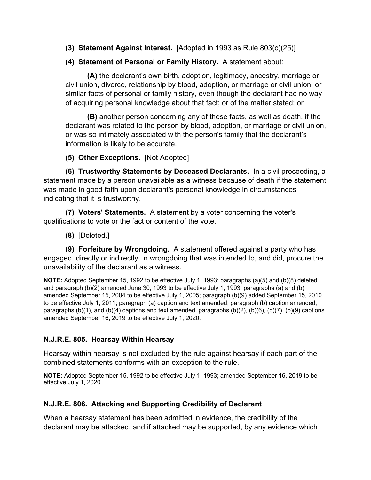- **(3) Statement Against Interest.** [Adopted in 1993 as Rule 803(c)(25)]
- **(4) Statement of Personal or Family History.** A statement about:

**(A)** the declarant's own birth, adoption, legitimacy, ancestry, marriage or civil union, divorce, relationship by blood, adoption, or marriage or civil union, or similar facts of personal or family history, even though the declarant had no way of acquiring personal knowledge about that fact; or of the matter stated; or

**(B)** another person concerning any of these facts, as well as death, if the declarant was related to the person by blood, adoption, or marriage or civil union, or was so intimately associated with the person's family that the declarant's information is likely to be accurate.

### **(5) Other Exceptions.** [Not Adopted]

**(6) Trustworthy Statements by Deceased Declarants.** In a civil proceeding, a statement made by a person unavailable as a witness because of death if the statement was made in good faith upon declarant's personal knowledge in circumstances indicating that it is trustworthy.

**(7) Voters' Statements.** A statement by a voter concerning the voter's qualifications to vote or the fact or content of the vote.

**(8)** [Deleted.]

**(9) Forfeiture by Wrongdoing.** A statement offered against a party who has engaged, directly or indirectly, in wrongdoing that was intended to, and did, procure the unavailability of the declarant as a witness.

**NOTE:** Adopted September 15, 1992 to be effective July 1, 1993; paragraphs (a)(5) and (b)(8) deleted and paragraph (b)(2) amended June 30, 1993 to be effective July 1, 1993; paragraphs (a) and (b) amended September 15, 2004 to be effective July 1, 2005; paragraph (b)(9) added September 15, 2010 to be effective July 1, 2011; paragraph (a) caption and text amended, paragraph (b) caption amended, paragraphs (b)(1), and (b)(4) captions and text amended, paragraphs (b)(2), (b)(6), (b)(7), (b)(9) captions amended September 16, 2019 to be effective July 1, 2020.

# **N.J.R.E. 805. Hearsay Within Hearsay**

Hearsay within hearsay is not excluded by the rule against hearsay if each part of the combined statements conforms with an exception to the rule.

**NOTE:** Adopted September 15, 1992 to be effective July 1, 1993; amended September 16, 2019 to be effective July 1, 2020.

# **N.J.R.E. 806. Attacking and Supporting Credibility of Declarant**

When a hearsay statement has been admitted in evidence, the credibility of the declarant may be attacked, and if attacked may be supported, by any evidence which